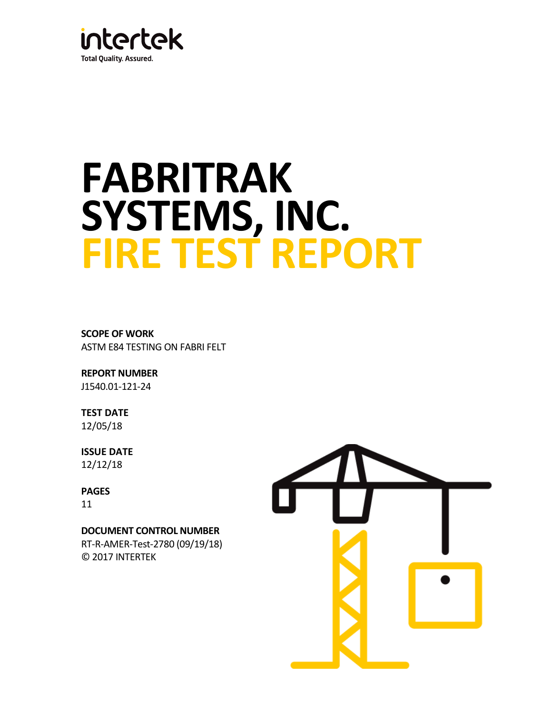

# **FABRITRAK SYSTEMS, INC. FIRE TEST REPORT**

**SCOPE OF WORK**  ASTM E84 TESTING ON FABRI FELT

**REPORT NUMBER** J1540.01-121-24

**TEST DATE**  12/05/18

**ISSUE DATE**  12/12/18

**PAGES** 11

**DOCUMENT CONTROL NUMBER** 

RT-R-AMER-Test-2780 (09/19/18) © 2017 INTERTEK

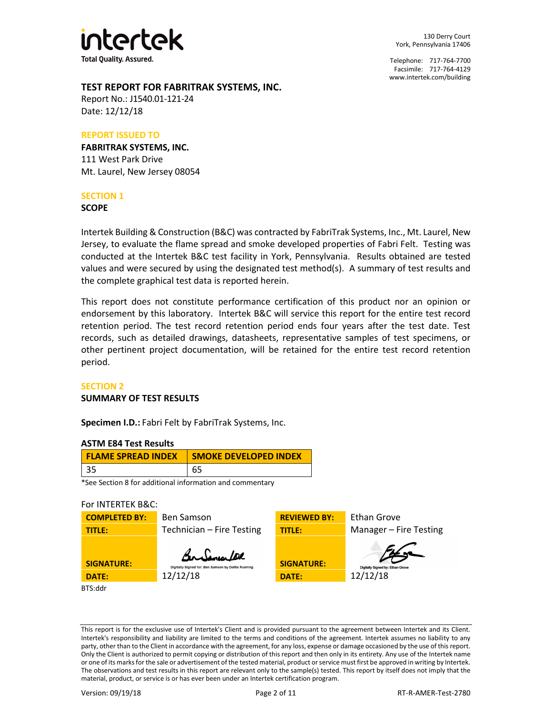

130 Derry Court York, Pennsylvania 17406

Telephone: 717-764-7700 Facsimile: 717-764-4129 [www.intertek.com/building](http://www.intertek.com/building) 

# **TEST REPORT FOR FABRITRAK SYSTEMS, INC.**

Report No.: J1540.01-121-24 Date: 12/12/18

#### **REPORT ISSUED TO**

**FABRITRAK SYSTEMS, INC.** 111 West Park Drive Mt. Laurel, New Jersey 08054

## **SECTION 1**

**SCOPE**

Intertek Building & Construction (B&C) was contracted by FabriTrak Systems, Inc., Mt. Laurel, New Jersey, to evaluate the flame spread and smoke developed properties of Fabri Felt. Testing was conducted at the Intertek B&C test facility in York, Pennsylvania. Results obtained are tested values and were secured by using the designated test method(s). A summary of test results and the complete graphical test data is reported herein.

This report does not constitute performance certification of this product nor an opinion or endorsement by this laboratory. Intertek B&C will service this report for the entire test record retention period. The test record retention period ends four years after the test date. Test records, such as detailed drawings, datasheets, representative samples of test specimens, or other pertinent project documentation, will be retained for the entire test record retention period.

## **SECTION 2**

## **SUMMARY OF TEST RESULTS**

**Specimen I.D.:** Fabri Felt by FabriTrak Systems, Inc.

## **ASTM E84 Test Results**

|    | <b>SMOKE DEVELOPED INDEX</b> |
|----|------------------------------|
| 65 |                              |

\*See Section 8 for additional information and commentary

# For INTERTEK B&C:



This report is for the exclusive use of Intertek's Client and is provided pursuant to the agreement between Intertek and its Client. Intertek's responsibility and liability are limited to the terms and conditions of the agreement. Intertek assumes no liability to any party, other than to the Client in accordance with the agreement, for any loss, expense or damage occasioned by the use of this report. Only the Client is authorized to permit copying or distribution of this report and then only in its entirety. Any use of the Intertek name or one of its marks for the sale or advertisement of the tested material, product or service must first be approved in writing by Intertek. The observations and test results in this report are relevant only to the sample(s) tested. This report by itself does not imply that the material, product, or service is or has ever been under an Intertek certification program.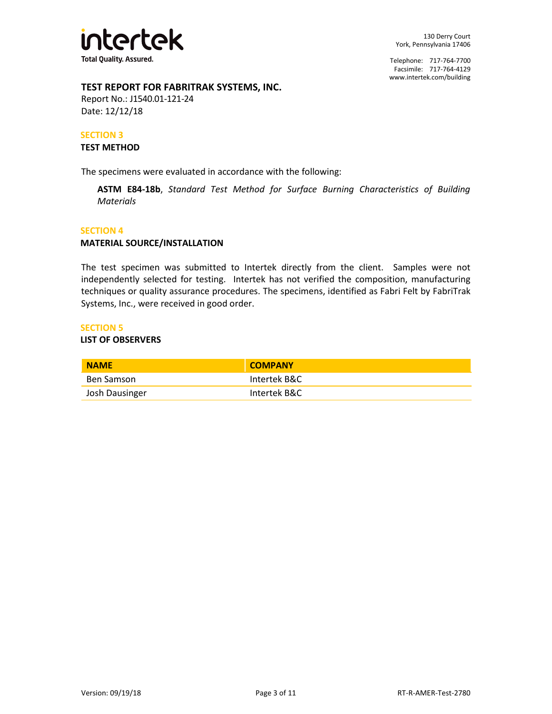

# **TEST REPORT FOR FABRITRAK SYSTEMS, INC.**

Report No.: J1540.01-121-24 Date: 12/12/18

# **SECTION 3**

## **TEST METHOD**

The specimens were evaluated in accordance with the following:

**ASTM E84-18b**, *Standard Test Method for Surface Burning Characteristics of Building Materials* 

#### **SECTION 4**

## **MATERIAL SOURCE/INSTALLATION**

The test specimen was submitted to Intertek directly from the client. Samples were not independently selected for testing. Intertek has not verified the composition, manufacturing techniques or quality assurance procedures. The specimens, identified as Fabri Felt by FabriTrak Systems, Inc., were received in good order.

#### **SECTION 5**

#### **LIST OF OBSERVERS**

| <b>NAME</b>    | <b>COMPANY</b> |
|----------------|----------------|
| Ben Samson     | Intertek B&C   |
| Josh Dausinger | Intertek B&C   |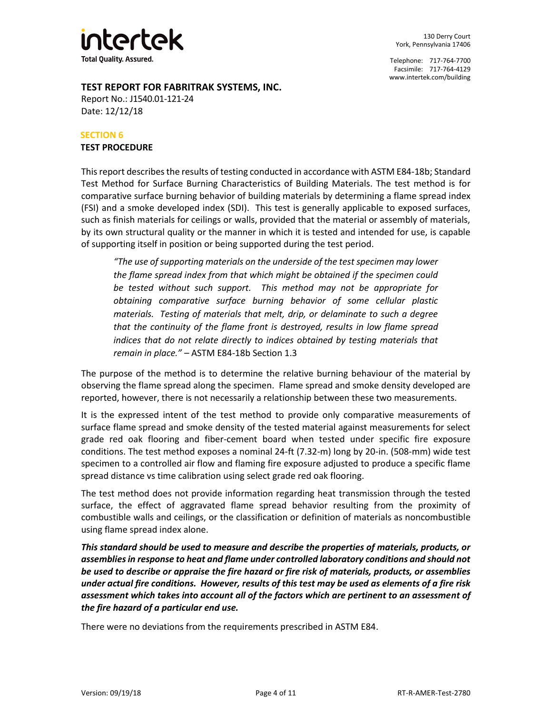

# **TEST REPORT FOR FABRITRAK SYSTEMS, INC.**

Report No.: J1540.01-121-24 Date: 12/12/18

# **SECTION 6**

# **TEST PROCEDURE**

This report describes the results of testing conducted in accordance with ASTM E84-18b; Standard Test Method for Surface Burning Characteristics of Building Materials. The test method is for comparative surface burning behavior of building materials by determining a flame spread index (FSI) and a smoke developed index (SDI). This test is generally applicable to exposed surfaces, such as finish materials for ceilings or walls, provided that the material or assembly of materials, by its own structural quality or the manner in which it is tested and intended for use, is capable of supporting itself in position or being supported during the test period.

*"The use of supporting materials on the underside of the test specimen may lower the flame spread index from that which might be obtained if the specimen could be tested without such support. This method may not be appropriate for obtaining comparative surface burning behavior of some cellular plastic materials. Testing of materials that melt, drip, or delaminate to such a degree that the continuity of the flame front is destroyed, results in low flame spread*  indices that do not relate directly to indices obtained by testing materials that *remain in place." –* ASTM E84-18b Section 1.3

The purpose of the method is to determine the relative burning behaviour of the material by observing the flame spread along the specimen. Flame spread and smoke density developed are reported, however, there is not necessarily a relationship between these two measurements.

It is the expressed intent of the test method to provide only comparative measurements of surface flame spread and smoke density of the tested material against measurements for select grade red oak flooring and fiber-cement board when tested under specific fire exposure conditions. The test method exposes a nominal 24-ft (7.32-m) long by 20-in. (508-mm) wide test specimen to a controlled air flow and flaming fire exposure adjusted to produce a specific flame spread distance vs time calibration using select grade red oak flooring.

The test method does not provide information regarding heat transmission through the tested surface, the effect of aggravated flame spread behavior resulting from the proximity of combustible walls and ceilings, or the classification or definition of materials as noncombustible using flame spread index alone.

*This standard should be used to measure and describe the properties of materials, products, or assemblies in response to heat and flame under controlled laboratory conditions and should not be used to describe or appraise the fire hazard or fire risk of materials, products, or assemblies under actual fire conditions. However, results of this test may be used as elements of a fire risk assessment which takes into account all of the factors which are pertinent to an assessment of the fire hazard of a particular end use.* 

There were no deviations from the requirements prescribed in ASTM E84.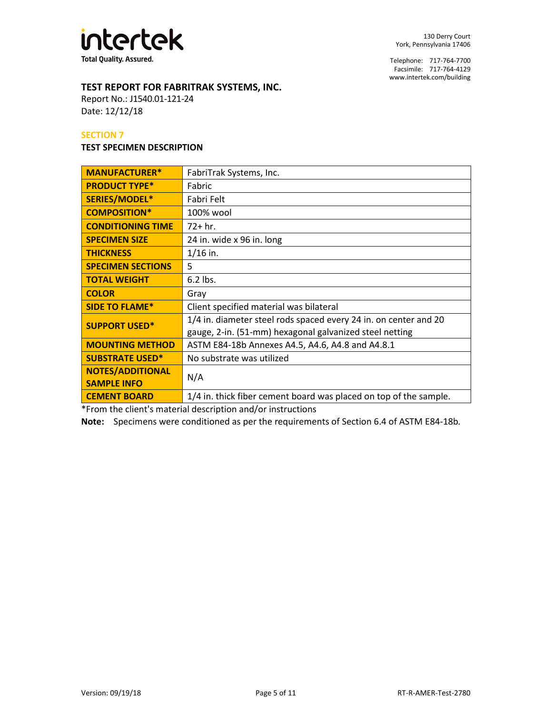

# **TEST REPORT FOR FABRITRAK SYSTEMS, INC.**

Report No.: J1540.01-121-24 Date: 12/12/18

## **SECTION 7**

#### **TEST SPECIMEN DESCRIPTION**

| <b>MANUFACTURER*</b>                          | FabriTrak Systems, Inc.                                                                                                     |  |
|-----------------------------------------------|-----------------------------------------------------------------------------------------------------------------------------|--|
| <b>PRODUCT TYPE*</b>                          | Fabric                                                                                                                      |  |
| SERIES/MODEL*                                 | Fabri Felt                                                                                                                  |  |
| <b>COMPOSITION*</b>                           | 100% wool                                                                                                                   |  |
| <b>CONDITIONING TIME</b>                      | $72 + hr.$                                                                                                                  |  |
| <b>SPECIMEN SIZE</b>                          | 24 in. wide x 96 in. long                                                                                                   |  |
| <b>THICKNESS</b>                              | $1/16$ in.                                                                                                                  |  |
| <b>SPECIMEN SECTIONS</b>                      | 5                                                                                                                           |  |
| <b>TOTAL WEIGHT</b>                           | $6.2$ lbs.                                                                                                                  |  |
| <b>COLOR</b>                                  | Gray                                                                                                                        |  |
| <b>SIDE TO FLAME*</b>                         | Client specified material was bilateral                                                                                     |  |
| <b>SUPPORT USED*</b>                          | 1/4 in. diameter steel rods spaced every 24 in. on center and 20<br>gauge, 2-in. (51-mm) hexagonal galvanized steel netting |  |
| <b>MOUNTING METHOD</b>                        | ASTM E84-18b Annexes A4.5, A4.6, A4.8 and A4.8.1                                                                            |  |
| <b>SUBSTRATE USED*</b>                        | No substrate was utilized                                                                                                   |  |
| <b>NOTES/ADDITIONAL</b><br><b>SAMPLE INFO</b> | N/A                                                                                                                         |  |
| <b>CEMENT BOARD</b>                           | 1/4 in. thick fiber cement board was placed on top of the sample.                                                           |  |

\*From the client's material description and/or instructions

**Note:** Specimens were conditioned as per the requirements of Section 6.4 of ASTM E84-18b*.*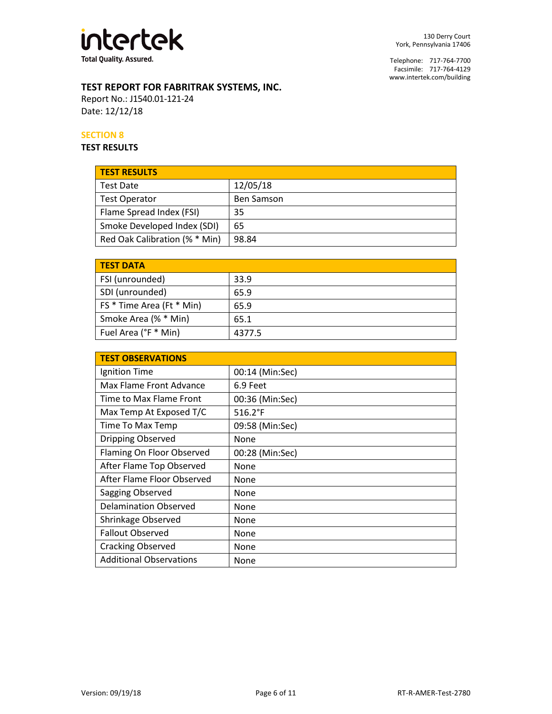

# **TEST REPORT FOR FABRITRAK SYSTEMS, INC.**

Report No.: J1540.01-121-24 Date: 12/12/18

# **SECTION 8**

**TEST RESULTS**

| <b>TEST RESULTS</b>           |                   |
|-------------------------------|-------------------|
| <b>Test Date</b>              | 12/05/18          |
| Test Operator                 | <b>Ben Samson</b> |
| Flame Spread Index (FSI)      | 35                |
| Smoke Developed Index (SDI)   | 65                |
| Red Oak Calibration (% * Min) | 98.84             |

| <b>TEST DATA</b>          |        |
|---------------------------|--------|
| FSI (unrounded)           | 33.9   |
| SDI (unrounded)           | 65.9   |
| FS * Time Area (Ft * Min) | 65.9   |
| Smoke Area (% * Min)      | 65.1   |
| Fuel Area (°F * Min)      | 4377.5 |

| <b>TEST OBSERVATIONS</b>       |                  |  |
|--------------------------------|------------------|--|
| Ignition Time                  | 00:14 (Min:Sec)  |  |
| Max Flame Front Advance        | 6.9 Feet         |  |
| Time to Max Flame Front        | 00:36 (Min:Sec)  |  |
| Max Temp At Exposed T/C        | $516.2^{\circ}F$ |  |
| Time To Max Temp               | 09:58 (Min:Sec)  |  |
| Dripping Observed              | None             |  |
| Flaming On Floor Observed      | 00:28 (Min:Sec)  |  |
| After Flame Top Observed       | None             |  |
| After Flame Floor Observed     | None             |  |
| Sagging Observed               | None             |  |
| <b>Delamination Observed</b>   | None             |  |
| Shrinkage Observed             | None             |  |
| <b>Fallout Observed</b>        | None             |  |
| <b>Cracking Observed</b>       | None             |  |
| <b>Additional Observations</b> | None             |  |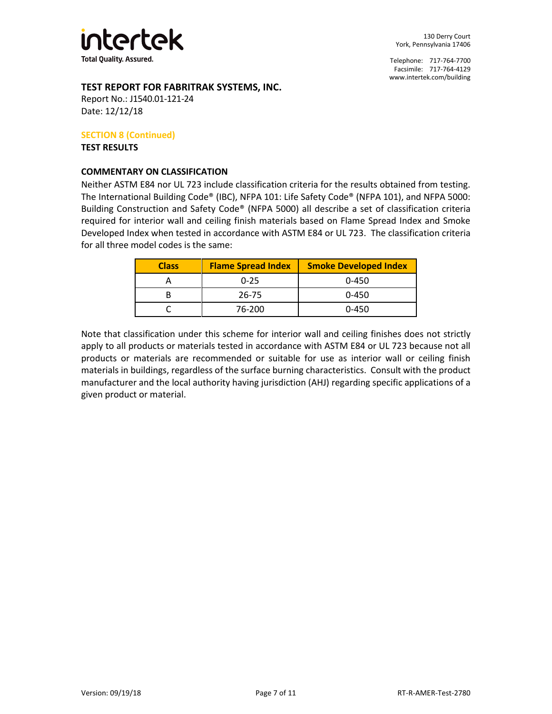

# **TEST REPORT FOR FABRITRAK SYSTEMS, INC.**

Report No.: J1540.01-121-24 Date: 12/12/18

# **SECTION 8 (Continued)**

**TEST RESULTS** 

# **COMMENTARY ON CLASSIFICATION**

Neither ASTM E84 nor UL 723 include classification criteria for the results obtained from testing. The International Building Code® (IBC), NFPA 101: Life Safety Code® (NFPA 101), and NFPA 5000: Building Construction and Safety Code® (NFPA 5000) all describe a set of classification criteria required for interior wall and ceiling finish materials based on Flame Spread Index and Smoke Developed Index when tested in accordance with ASTM E84 or UL 723. The classification criteria for all three model codes is the same:

| <b>Class</b> | <b>Flame Spread Index</b> | <b>Smoke Developed Index</b> |
|--------------|---------------------------|------------------------------|
|              | $0 - 25$                  | $0 - 450$                    |
|              | 26-75                     | $0 - 450$                    |
|              | 76-200                    | 0-450                        |

Note that classification under this scheme for interior wall and ceiling finishes does not strictly apply to all products or materials tested in accordance with ASTM E84 or UL 723 because not all products or materials are recommended or suitable for use as interior wall or ceiling finish materials in buildings, regardless of the surface burning characteristics. Consult with the product manufacturer and the local authority having jurisdiction (AHJ) regarding specific applications of a given product or material.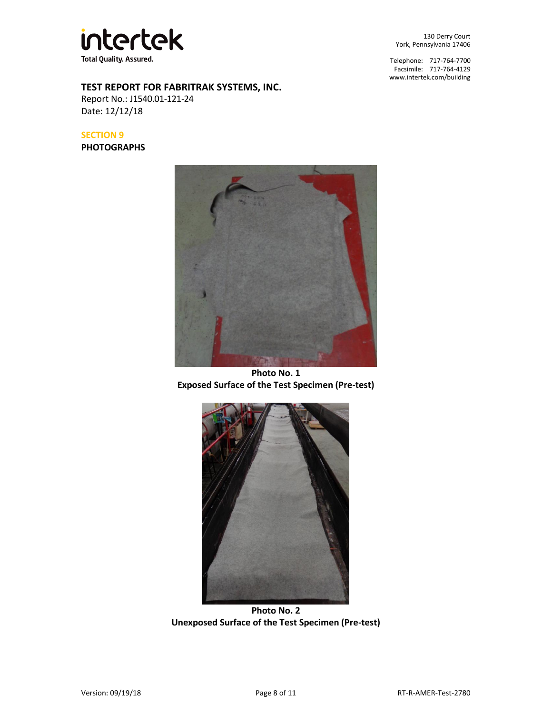

**TEST REPORT FOR FABRITRAK SYSTEMS, INC.**

Report No.: J1540.01-121-24 Date: 12/12/18

**SECTION 9**

**PHOTOGRAPHS**



Telephone: 717-764-7700 Facsimile: 717-764-4129 [www.intertek.com/building](http://www.intertek.com/building) 



**Photo No. 1 Exposed Surface of the Test Specimen (Pre-test)** 



**Photo No. 2 Unexposed Surface of the Test Specimen (Pre-test)**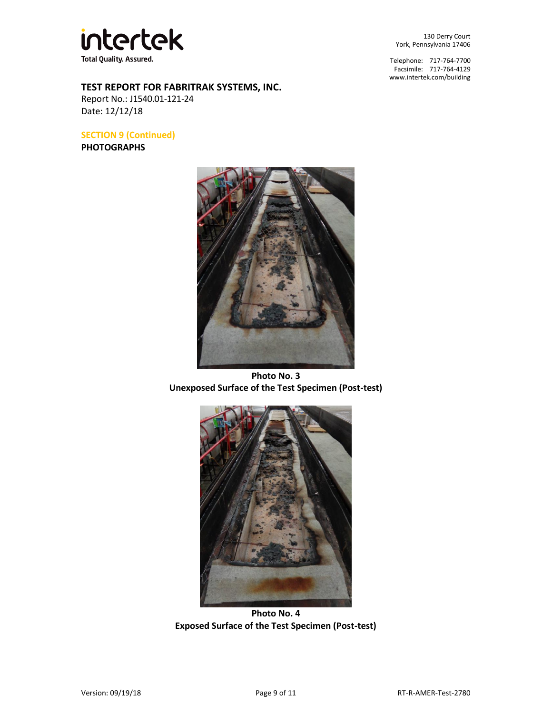

**TEST REPORT FOR FABRITRAK SYSTEMS, INC.**

Report No.: J1540.01-121-24 Date: 12/12/18

**SECTION 9 (Continued)** 

**PHOTOGRAPHS**



Telephone: 717-764-7700 Facsimile: 717-764-4129 [www.intertek.com/building](http://www.intertek.com/building) 



**Photo No. 3 Unexposed Surface of the Test Specimen (Post-test)** 



**Photo No. 4 Exposed Surface of the Test Specimen (Post-test)**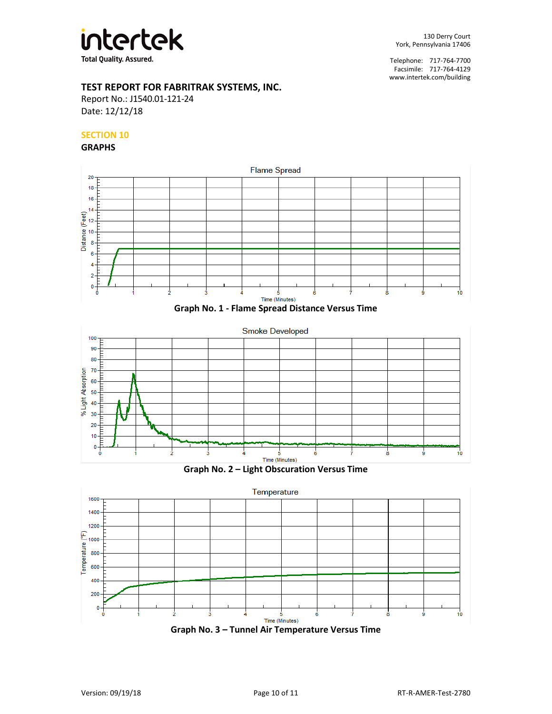

# **TEST REPORT FOR FABRITRAK SYSTEMS, INC.**

Report No.: J1540.01-121-24 Date: 12/12/18

# **SECTION 10**

#### **GRAPHS**